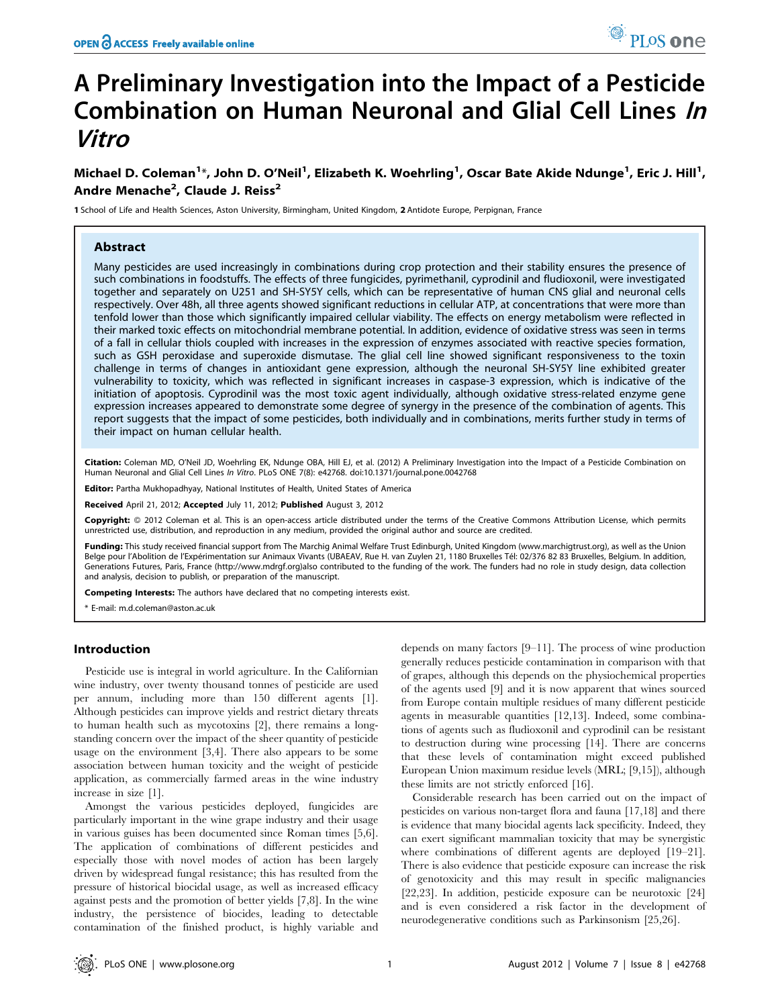# A Preliminary Investigation into the Impact of a Pesticide Combination on Human Neuronal and Glial Cell Lines In Vitro

Michael D. Coleman<sup>1</sup>\*, John D. O'Neil<sup>1</sup>, Elizabeth K. Woehrling<sup>1</sup>, Oscar Bate Akide Ndunge<sup>1</sup>, Eric J. Hill<sup>1</sup>, Andre Menache<sup>2</sup>, Claude J. Reiss<sup>2</sup>

1 School of Life and Health Sciences, Aston University, Birmingham, United Kingdom, 2 Antidote Europe, Perpignan, France

## Abstract

Many pesticides are used increasingly in combinations during crop protection and their stability ensures the presence of such combinations in foodstuffs. The effects of three fungicides, pyrimethanil, cyprodinil and fludioxonil, were investigated together and separately on U251 and SH-SY5Y cells, which can be representative of human CNS glial and neuronal cells respectively. Over 48h, all three agents showed significant reductions in cellular ATP, at concentrations that were more than tenfold lower than those which significantly impaired cellular viability. The effects on energy metabolism were reflected in their marked toxic effects on mitochondrial membrane potential. In addition, evidence of oxidative stress was seen in terms of a fall in cellular thiols coupled with increases in the expression of enzymes associated with reactive species formation, such as GSH peroxidase and superoxide dismutase. The glial cell line showed significant responsiveness to the toxin challenge in terms of changes in antioxidant gene expression, although the neuronal SH-SY5Y line exhibited greater vulnerability to toxicity, which was reflected in significant increases in caspase-3 expression, which is indicative of the initiation of apoptosis. Cyprodinil was the most toxic agent individually, although oxidative stress-related enzyme gene expression increases appeared to demonstrate some degree of synergy in the presence of the combination of agents. This report suggests that the impact of some pesticides, both individually and in combinations, merits further study in terms of their impact on human cellular health.

Citation: Coleman MD, O'Neil JD, Woehrling EK, Ndunge OBA, Hill EJ, et al. (2012) A Preliminary Investigation into the Impact of a Pesticide Combination on Human Neuronal and Glial Cell Lines In Vitro. PLoS ONE 7(8): e42768. doi:10.1371/journal.pone.0042768

**Editor:** Partha Mukhopadhyay, National Institutes of Health, United States of America

Received April 21, 2012; Accepted July 11, 2012; Published August 3, 2012

**Copyright:** © 2012 Coleman et al. This is an open-access article distributed under the terms of the Creative Commons Attribution License, which permits unrestricted use, distribution, and reproduction in any medium, provided the original author and source are credited.

Funding: This study received financial support from The Marchig Animal Welfare Trust Edinburgh, United Kingdom (www.marchigtrust.org), as well as the Union Belge pour l'Abolition de l'Expérimentation sur Animaux Vivants (UBAEAV, Rue H. van Zuylen 21, 1180 Bruxelles Tél: 02/376 82 83 Bruxelles, Belgium. In addition, Generations Futures, Paris, France (http://www.mdrgf.org)also contributed to the funding of the work. The funders had no role in study design, data collection and analysis, decision to publish, or preparation of the manuscript.

Competing Interests: The authors have declared that no competing interests exist.

\* E-mail: m.d.coleman@aston.ac.uk

## Introduction

Pesticide use is integral in world agriculture. In the Californian wine industry, over twenty thousand tonnes of pesticide are used per annum, including more than 150 different agents [1]. Although pesticides can improve yields and restrict dietary threats to human health such as mycotoxins [2], there remains a longstanding concern over the impact of the sheer quantity of pesticide usage on the environment [3,4]. There also appears to be some association between human toxicity and the weight of pesticide application, as commercially farmed areas in the wine industry increase in size [1].

Amongst the various pesticides deployed, fungicides are particularly important in the wine grape industry and their usage in various guises has been documented since Roman times [5,6]. The application of combinations of different pesticides and especially those with novel modes of action has been largely driven by widespread fungal resistance; this has resulted from the pressure of historical biocidal usage, as well as increased efficacy against pests and the promotion of better yields [7,8]. In the wine industry, the persistence of biocides, leading to detectable contamination of the finished product, is highly variable and depends on many factors [9–11]. The process of wine production generally reduces pesticide contamination in comparison with that of grapes, although this depends on the physiochemical properties of the agents used [9] and it is now apparent that wines sourced from Europe contain multiple residues of many different pesticide agents in measurable quantities [12,13]. Indeed, some combinations of agents such as fludioxonil and cyprodinil can be resistant to destruction during wine processing [14]. There are concerns that these levels of contamination might exceed published European Union maximum residue levels (MRL; [9,15]), although these limits are not strictly enforced [16].

Considerable research has been carried out on the impact of pesticides on various non-target flora and fauna [17,18] and there is evidence that many biocidal agents lack specificity. Indeed, they can exert significant mammalian toxicity that may be synergistic where combinations of different agents are deployed [19–21]. There is also evidence that pesticide exposure can increase the risk of genotoxicity and this may result in specific malignancies [22,23]. In addition, pesticide exposure can be neurotoxic [24] and is even considered a risk factor in the development of neurodegenerative conditions such as Parkinsonism [25,26].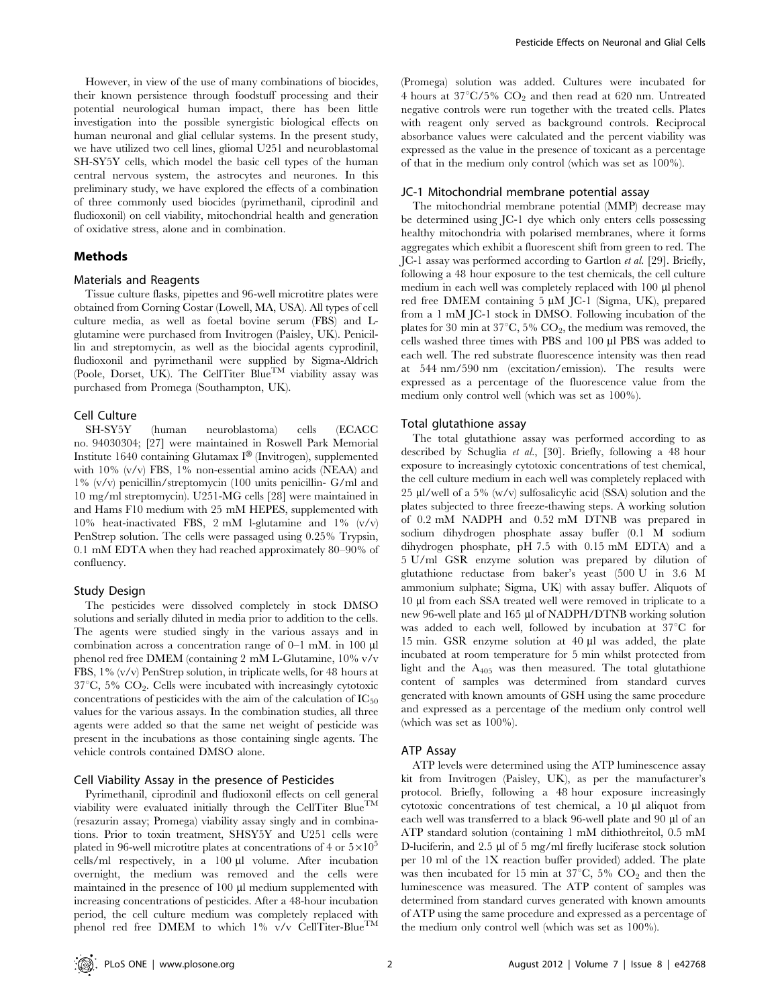However, in view of the use of many combinations of biocides, their known persistence through foodstuff processing and their potential neurological human impact, there has been little investigation into the possible synergistic biological effects on human neuronal and glial cellular systems. In the present study, we have utilized two cell lines, gliomal U251 and neuroblastomal SH-SY5Y cells, which model the basic cell types of the human central nervous system, the astrocytes and neurones. In this preliminary study, we have explored the effects of a combination of three commonly used biocides (pyrimethanil, ciprodinil and fludioxonil) on cell viability, mitochondrial health and generation of oxidative stress, alone and in combination.

## Methods

## Materials and Reagents

Tissue culture flasks, pipettes and 96-well microtitre plates were obtained from Corning Costar (Lowell, MA, USA). All types of cell culture media, as well as foetal bovine serum (FBS) and Lglutamine were purchased from Invitrogen (Paisley, UK). Penicillin and streptomycin, as well as the biocidal agents cyprodinil, fludioxonil and pyrimethanil were supplied by Sigma-Aldrich (Poole, Dorset, UK). The CellTiter Blue<sup>TM</sup> viability assay was purchased from Promega (Southampton, UK).

# Cell Culture

SH-SY5Y (human neuroblastoma) cells (ECACC no. 94030304; [27] were maintained in Roswell Park Memorial Institute 1640 containing Glutamax I® (Invitrogen), supplemented with 10% (v/v) FBS, 1% non-essential amino acids (NEAA) and 1% (v/v) penicillin/streptomycin (100 units penicillin- G/ml and 10 mg/ml streptomycin). U251-MG cells [28] were maintained in and Hams F10 medium with 25 mM HEPES, supplemented with 10% heat-inactivated FBS, 2 mM l-glutamine and  $1\%$  (v/v) PenStrep solution. The cells were passaged using 0.25% Trypsin, 0.1 mM EDTA when they had reached approximately 80–90% of confluency.

### Study Design

The pesticides were dissolved completely in stock DMSO solutions and serially diluted in media prior to addition to the cells. The agents were studied singly in the various assays and in combination across a concentration range of  $0-1$  mM. in 100  $\mu$ l phenol red free DMEM (containing 2 mM L-Glutamine, 10% v/v FBS, 1% (v/v) PenStrep solution, in triplicate wells, for 48 hours at  $37^{\circ}$ C,  $5\%$  CO<sub>2</sub>. Cells were incubated with increasingly cytotoxic concentrations of pesticides with the aim of the calculation of  $IC_{50}$ values for the various assays. In the combination studies, all three agents were added so that the same net weight of pesticide was present in the incubations as those containing single agents. The vehicle controls contained DMSO alone.

#### Cell Viability Assay in the presence of Pesticides

Pyrimethanil, ciprodinil and fludioxonil effects on cell general viability were evaluated initially through the CellTiter Blue<sup>TM</sup> (resazurin assay; Promega) viability assay singly and in combinations. Prior to toxin treatment, SHSY5Y and U251 cells were plated in 96-well microtitre plates at concentrations of 4 or  $5\times10^{5}$ cells/ml respectively, in a  $100 \mu l$  volume. After incubation overnight, the medium was removed and the cells were maintained in the presence of 100  $\mu$ l medium supplemented with increasing concentrations of pesticides. After a 48-hour incubation period, the cell culture medium was completely replaced with phenol red free DMEM to which  $1\%$  v/v CellTiter-Blue<sup>TM</sup>

(Promega) solution was added. Cultures were incubated for 4 hours at  $37^{\circ}$ C/5% CO<sub>2</sub> and then read at 620 nm. Untreated negative controls were run together with the treated cells. Plates with reagent only served as background controls. Reciprocal absorbance values were calculated and the percent viability was expressed as the value in the presence of toxicant as a percentage of that in the medium only control (which was set as 100%).

#### JC-1 Mitochondrial membrane potential assay

The mitochondrial membrane potential (MMP) decrease may be determined using JC-1 dye which only enters cells possessing healthy mitochondria with polarised membranes, where it forms aggregates which exhibit a fluorescent shift from green to red. The JC-1 assay was performed according to Gartlon et al. [29]. Briefly, following a 48 hour exposure to the test chemicals, the cell culture medium in each well was completely replaced with 100 µl phenol red free DMEM containing  $5 \mu M$  JC-1 (Sigma, UK), prepared from a 1 mM JC-1 stock in DMSO. Following incubation of the plates for 30 min at  $37^{\circ}$ C, 5% CO<sub>2</sub>, the medium was removed, the cells washed three times with PBS and 100 ml PBS was added to each well. The red substrate fluorescence intensity was then read at 544 nm/590 nm (excitation/emission). The results were expressed as a percentage of the fluorescence value from the medium only control well (which was set as 100%).

## Total glutathione assay

The total glutathione assay was performed according to as described by Schuglia et al., [30]. Briefly, following a 48 hour exposure to increasingly cytotoxic concentrations of test chemical, the cell culture medium in each well was completely replaced with 25  $\mu$ l/well of a 5% (w/v) sulfosalicylic acid (SSA) solution and the plates subjected to three freeze-thawing steps. A working solution of 0.2 mM NADPH and 0.52 mM DTNB was prepared in sodium dihydrogen phosphate assay buffer (0.1 M sodium dihydrogen phosphate, pH 7.5 with 0.15 mM EDTA) and a 5 U/ml GSR enzyme solution was prepared by dilution of glutathione reductase from baker's yeast (500 U in 3.6 M ammonium sulphate; Sigma, UK) with assay buffer. Aliquots of 10 µl from each SSA treated well were removed in triplicate to a new 96-well plate and 165 µl of NADPH/DTNB working solution was added to each well, followed by incubation at  $37^{\circ}$ C for 15 min. GSR enzyme solution at  $40 \mu l$  was added, the plate incubated at room temperature for 5 min whilst protected from light and the  $A_{405}$  was then measured. The total glutathione content of samples was determined from standard curves generated with known amounts of GSH using the same procedure and expressed as a percentage of the medium only control well (which was set as 100%).

#### ATP Assay

ATP levels were determined using the ATP luminescence assay kit from Invitrogen (Paisley, UK), as per the manufacturer's protocol. Briefly, following a 48 hour exposure increasingly cytotoxic concentrations of test chemical, a 10 µl aliquot from each well was transferred to a black 96-well plate and 90  $\mu$ l of an ATP standard solution (containing 1 mM dithiothreitol, 0.5 mM D-luciferin, and 2.5 µl of 5 mg/ml firefly luciferase stock solution per 10 ml of the 1X reaction buffer provided) added. The plate was then incubated for 15 min at 37 $^{\circ}$ C, 5% CO<sub>2</sub> and then the luminescence was measured. The ATP content of samples was determined from standard curves generated with known amounts of ATP using the same procedure and expressed as a percentage of the medium only control well (which was set as 100%).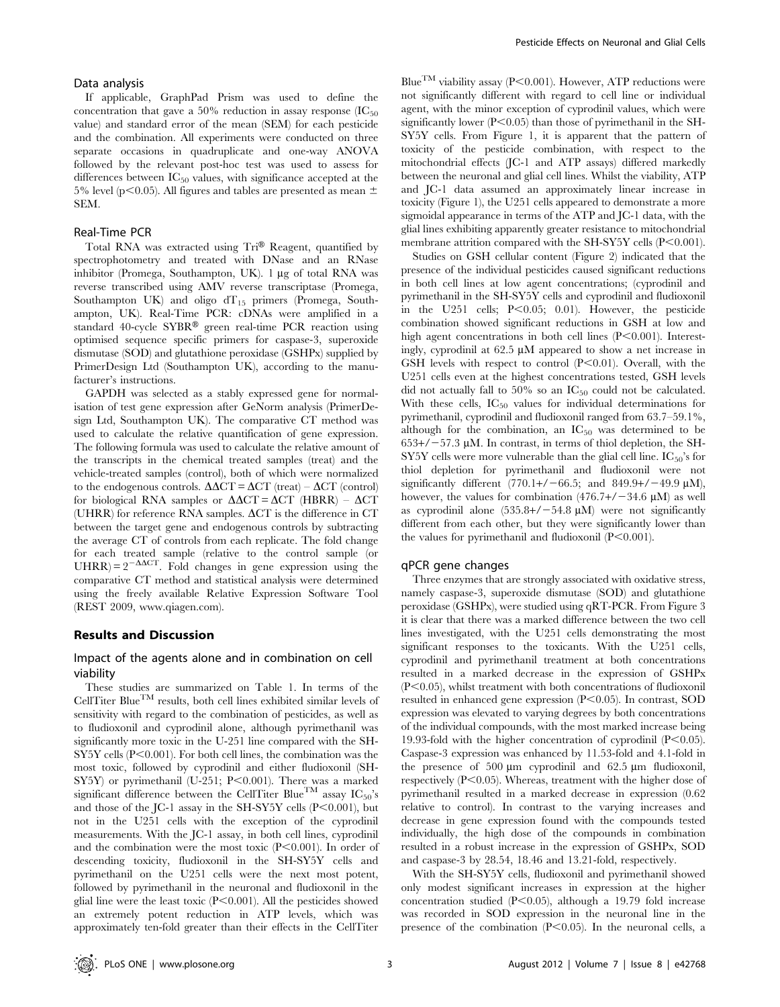## Data analysis

If applicable, GraphPad Prism was used to define the concentration that gave a 50% reduction in assay response  $(IC_{50})$ value) and standard error of the mean (SEM) for each pesticide and the combination. All experiments were conducted on three separate occasions in quadruplicate and one-way ANOVA followed by the relevant post-hoc test was used to assess for differences between  $IC_{50}$  values, with significance accepted at the 5% level (p $\leq$ 0.05). All figures and tables are presented as mean  $\pm$ SEM.

## Real-Time PCR

Total RNA was extracted using Tri® Reagent, quantified by spectrophotometry and treated with DNase and an RNase inhibitor (Promega, Southampton, UK). 1 µg of total RNA was reverse transcribed using AMV reverse transcriptase (Promega, Southampton UK) and oligo  $dT_{15}$  primers (Promega, Southampton, UK). Real-Time PCR: cDNAs were amplified in a standard 40-cycle SYBR® green real-time PCR reaction using optimised sequence specific primers for caspase-3, superoxide dismutase (SOD) and glutathione peroxidase (GSHPx) supplied by PrimerDesign Ltd (Southampton UK), according to the manufacturer's instructions.

GAPDH was selected as a stably expressed gene for normalisation of test gene expression after GeNorm analysis (PrimerDesign Ltd, Southampton UK). The comparative CT method was used to calculate the relative quantification of gene expression. The following formula was used to calculate the relative amount of the transcripts in the chemical treated samples (treat) and the vehicle-treated samples (control), both of which were normalized to the endogenous controls.  $\Delta \Delta \text{CT} = \Delta \text{CT}$  (treat) –  $\Delta \text{CT}$  (control) for biological RNA samples or  $\Delta \Delta CT = \Delta CT$  (HBRR) –  $\Delta CT$ (UHRR) for reference RNA samples.  $\Delta$ CT is the difference in CT between the target gene and endogenous controls by subtracting the average CT of controls from each replicate. The fold change for each treated sample (relative to the control sample (or UHRR) =  $2^{-\Delta \Delta CT}$ . Fold changes in gene expression using the comparative CT method and statistical analysis were determined using the freely available Relative Expression Software Tool (REST 2009, www.qiagen.com).

## Results and Discussion

# Impact of the agents alone and in combination on cell viability

These studies are summarized on Table 1. In terms of the CellTiter Blue<sup>TM</sup> results, both cell lines exhibited similar levels of sensitivity with regard to the combination of pesticides, as well as to fludioxonil and cyprodinil alone, although pyrimethanil was significantly more toxic in the U-251 line compared with the SH- $S<sub>Y5</sub>Y$  cells (P<0.001). For both cell lines, the combination was the most toxic, followed by cyprodinil and either fludioxonil (SH-SY5Y) or pyrimethanil (U-251; P<0.001). There was a marked significant difference between the CellTiter Blue<sup>TM</sup> assay  $IC_{50}$ 's and those of the  $\text{IC-1}$  assay in the SH-SY5Y cells  $(\text{P} < 0.001)$ , but not in the U251 cells with the exception of the cyprodinil measurements. With the JC-1 assay, in both cell lines, cyprodinil and the combination were the most toxic  $(P<0.001)$ . In order of descending toxicity, fludioxonil in the SH-SY5Y cells and pyrimethanil on the U251 cells were the next most potent, followed by pyrimethanil in the neuronal and fludioxonil in the glial line were the least toxic  $(P<0.001)$ . All the pesticides showed an extremely potent reduction in ATP levels, which was approximately ten-fold greater than their effects in the CellTiter

Blue<sup>TM</sup> viability assay (P<0.001). However, ATP reductions were not significantly different with regard to cell line or individual agent, with the minor exception of cyprodinil values, which were significantly lower  $(P<0.05)$  than those of pyrimethanil in the SH-SY5Y cells. From Figure 1, it is apparent that the pattern of toxicity of the pesticide combination, with respect to the mitochondrial effects (JC-1 and ATP assays) differed markedly between the neuronal and glial cell lines. Whilst the viability, ATP and JC-1 data assumed an approximately linear increase in toxicity (Figure 1), the U251 cells appeared to demonstrate a more sigmoidal appearance in terms of the ATP and JC-1 data, with the glial lines exhibiting apparently greater resistance to mitochondrial membrane attrition compared with the SH-SY5Y cells  $(P<0.001)$ .

Studies on GSH cellular content (Figure 2) indicated that the presence of the individual pesticides caused significant reductions in both cell lines at low agent concentrations; (cyprodinil and pyrimethanil in the SH-SY5Y cells and cyprodinil and fludioxonil in the U251 cells;  $P<0.05$ ; 0.01). However, the pesticide combination showed significant reductions in GSH at low and high agent concentrations in both cell lines  $(P<0.001)$ . Interestingly, cyprodinil at  $62.5 \mu M$  appeared to show a net increase in GSH levels with respect to control  $(P<0.01)$ . Overall, with the U251 cells even at the highest concentrations tested, GSH levels did not actually fall to 50% so an  $IC_{50}$  could not be calculated. With these cells,  $IC_{50}$  values for individual determinations for pyrimethanil, cyprodinil and fludioxonil ranged from 63.7–59.1%, although for the combination, an  $IC_{50}$  was determined to be  $653+/-57.3 \mu M$ . In contrast, in terms of thiol depletion, the SH- $SY5Y$  cells were more vulnerable than the glial cell line.  $IC_{50}$ 's for thiol depletion for pyrimethanil and fludioxonil were not significantly different  $(770.1+/-66.5;$  and  $849.9+/-49.9 \text{ µM}$ ), however, the values for combination  $(476.7+\ell-34.6 \text{ µM})$  as well as cyprodinil alone  $(535.8+/-54.8 \text{ uM})$  were not significantly different from each other, but they were significantly lower than the values for pyrimethanil and fludioxonil  $(P<0.001)$ .

#### qPCR gene changes

Three enzymes that are strongly associated with oxidative stress, namely caspase-3, superoxide dismutase (SOD) and glutathione peroxidase (GSHPx), were studied using qRT-PCR. From Figure 3 it is clear that there was a marked difference between the two cell lines investigated, with the U251 cells demonstrating the most significant responses to the toxicants. With the U251 cells, cyprodinil and pyrimethanil treatment at both concentrations resulted in a marked decrease in the expression of GSHPx  $(P<0.05)$ , whilst treatment with both concentrations of fludioxonil resulted in enhanced gene expression  $(P<0.05)$ . In contrast, SOD expression was elevated to varying degrees by both concentrations of the individual compounds, with the most marked increase being 19.93-fold with the higher concentration of cyprodinil  $(P<0.05)$ . Caspase-3 expression was enhanced by 11.53-fold and 4.1-fold in the presence of 500  $\mu$ m cyprodinil and 62.5  $\mu$ m fludioxonil, respectively  $(P<0.05)$ . Whereas, treatment with the higher dose of pyrimethanil resulted in a marked decrease in expression (0.62 relative to control). In contrast to the varying increases and decrease in gene expression found with the compounds tested individually, the high dose of the compounds in combination resulted in a robust increase in the expression of GSHPx, SOD and caspase-3 by 28.54, 18.46 and 13.21-fold, respectively.

With the SH-SY5Y cells, fludioxonil and pyrimethanil showed only modest significant increases in expression at the higher concentration studied  $(P<0.05)$ , although a 19.79 fold increase was recorded in SOD expression in the neuronal line in the presence of the combination  $(P<0.05)$ . In the neuronal cells, a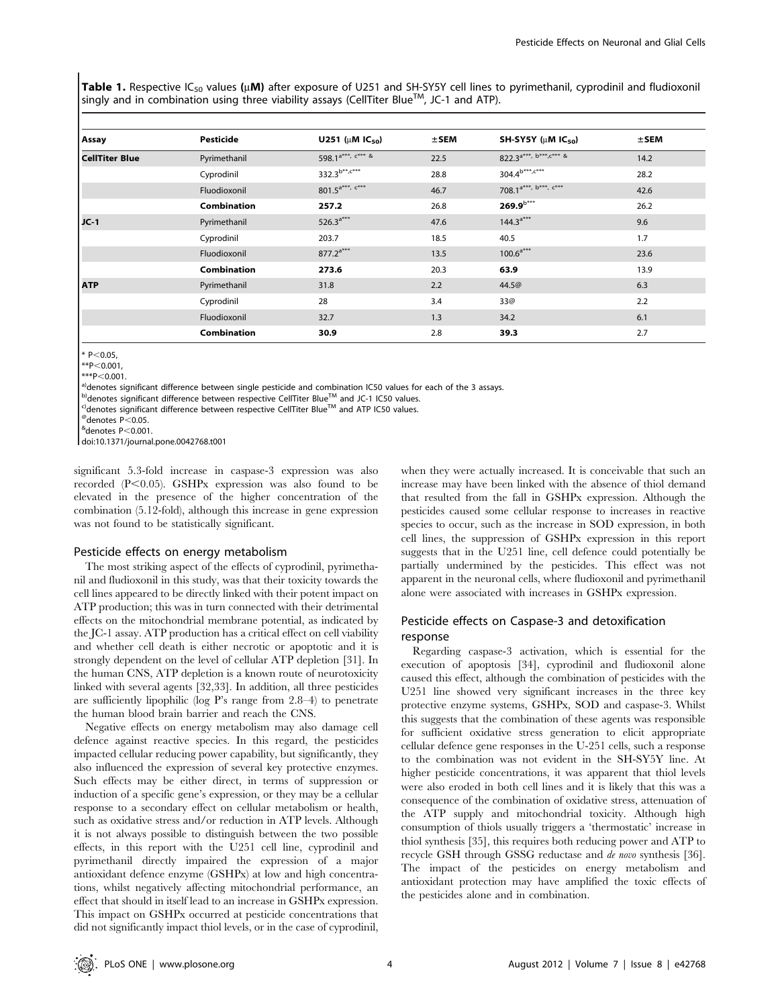**Table 1.** Respective IC<sub>50</sub> values (µ**M)** after exposure of U251 and SH-SY5Y cell lines to pyrimethanil, cyprodinil and fludioxonil singly and in combination using three viability assays (CellTiter Blue<sup>TM</sup>, JC-1 and ATP).

| Assay                 | <b>Pesticide</b>   | U251 ( $\mu$ M IC <sub>50</sub> )                                        | $±$ SEM | SH-SY5Y ( $\mu$ M IC <sub>50</sub> )   | $±$ SEM |
|-----------------------|--------------------|--------------------------------------------------------------------------|---------|----------------------------------------|---------|
| <b>CellTiter Blue</b> | Pyrimethanil       | 598.1 <sup>a***, <math>\frac{1}{x}</math> <math>\frac{1}{x}</math></sup> | 22.5    | 822.3 <sup>a***</sup> , $b***, c***$ & | 14.2    |
|                       | Cyprodinil         | $332.3^{b**, c***}$                                                      | 28.8    | $304.4^{b***, c***}$                   | 28.2    |
|                       | Fluodioxonil       | $801.5^{a***}$ , $c***$                                                  | 46.7    | 708.1 <sup>a***, b***, c***</sup>      | 42.6    |
|                       | <b>Combination</b> | 257.2                                                                    | 26.8    | $269.9^{b***}$                         | 26.2    |
| $JC-1$                | Pyrimethanil       | 526.3 <sup>a***</sup>                                                    | 47.6    | $144.3^{a***}$                         | 9.6     |
|                       | Cyprodinil         | 203.7                                                                    | 18.5    | 40.5                                   | 1.7     |
|                       | Fluodioxonil       | $877.2^{a***}$                                                           | 13.5    | $100.6^{a***}$                         | 23.6    |
|                       | <b>Combination</b> | 273.6                                                                    | 20.3    | 63.9                                   | 13.9    |
| <b>ATP</b>            | Pyrimethanil       | 31.8                                                                     | 2.2     | 44.5@                                  | 6.3     |
|                       | Cyprodinil         | 28                                                                       | 3.4     | 33@                                    | 2.2     |
|                       | Fluodioxonil       | 32.7                                                                     | 1.3     | 34.2                                   | 6.1     |
|                       | Combination        | 30.9                                                                     | 2.8     | 39.3                                   | 2.7     |
|                       |                    |                                                                          |         |                                        |         |

 $*$  P<0.05,

<sup>a)</sup>denotes significant difference between single pesticide and combination IC50 values for each of the 3 assays.<br><sup>b)</sup>denotes significant difference between respective CellTiter Blue™ and JC-1 IC50 values.

<sup>c)</sup>denotes significant difference between respective CellTiter Blue™ and ATP IC50 values.<br>®denotes P<0.05.

 $^{\rm{\'e}}$ denotes P $<$ 0.001.

doi:10.1371/journal.pone.0042768.t001

significant 5.3-fold increase in caspase-3 expression was also recorded  $(P<0.05)$ . GSHPx expression was also found to be elevated in the presence of the higher concentration of the combination (5.12-fold), although this increase in gene expression was not found to be statistically significant.

#### Pesticide effects on energy metabolism

The most striking aspect of the effects of cyprodinil, pyrimethanil and fludioxonil in this study, was that their toxicity towards the cell lines appeared to be directly linked with their potent impact on ATP production; this was in turn connected with their detrimental effects on the mitochondrial membrane potential, as indicated by the JC-1 assay. ATP production has a critical effect on cell viability and whether cell death is either necrotic or apoptotic and it is strongly dependent on the level of cellular ATP depletion [31]. In the human CNS, ATP depletion is a known route of neurotoxicity linked with several agents [32,33]. In addition, all three pesticides are sufficiently lipophilic (log P's range from 2.8–4) to penetrate the human blood brain barrier and reach the CNS.

Negative effects on energy metabolism may also damage cell defence against reactive species. In this regard, the pesticides impacted cellular reducing power capability, but significantly, they also influenced the expression of several key protective enzymes. Such effects may be either direct, in terms of suppression or induction of a specific gene's expression, or they may be a cellular response to a secondary effect on cellular metabolism or health, such as oxidative stress and/or reduction in ATP levels. Although it is not always possible to distinguish between the two possible effects, in this report with the U251 cell line, cyprodinil and pyrimethanil directly impaired the expression of a major antioxidant defence enzyme (GSHPx) at low and high concentrations, whilst negatively affecting mitochondrial performance, an effect that should in itself lead to an increase in GSHPx expression. This impact on GSHPx occurred at pesticide concentrations that did not significantly impact thiol levels, or in the case of cyprodinil,

when they were actually increased. It is conceivable that such an increase may have been linked with the absence of thiol demand that resulted from the fall in GSHPx expression. Although the pesticides caused some cellular response to increases in reactive species to occur, such as the increase in SOD expression, in both cell lines, the suppression of GSHPx expression in this report suggests that in the U251 line, cell defence could potentially be partially undermined by the pesticides. This effect was not apparent in the neuronal cells, where fludioxonil and pyrimethanil alone were associated with increases in GSHPx expression.

# Pesticide effects on Caspase-3 and detoxification response

Regarding caspase-3 activation, which is essential for the execution of apoptosis [34], cyprodinil and fludioxonil alone caused this effect, although the combination of pesticides with the U251 line showed very significant increases in the three key protective enzyme systems, GSHPx, SOD and caspase-3. Whilst this suggests that the combination of these agents was responsible for sufficient oxidative stress generation to elicit appropriate cellular defence gene responses in the U-251 cells, such a response to the combination was not evident in the SH-SY5Y line. At higher pesticide concentrations, it was apparent that thiol levels were also eroded in both cell lines and it is likely that this was a consequence of the combination of oxidative stress, attenuation of the ATP supply and mitochondrial toxicity. Although high consumption of thiols usually triggers a 'thermostatic' increase in thiol synthesis [35], this requires both reducing power and ATP to recycle GSH through GSSG reductase and de novo synthesis [36]. The impact of the pesticides on energy metabolism and antioxidant protection may have amplified the toxic effects of the pesticides alone and in combination.

 $*P<0.001,$ <br> $**P<0.001.$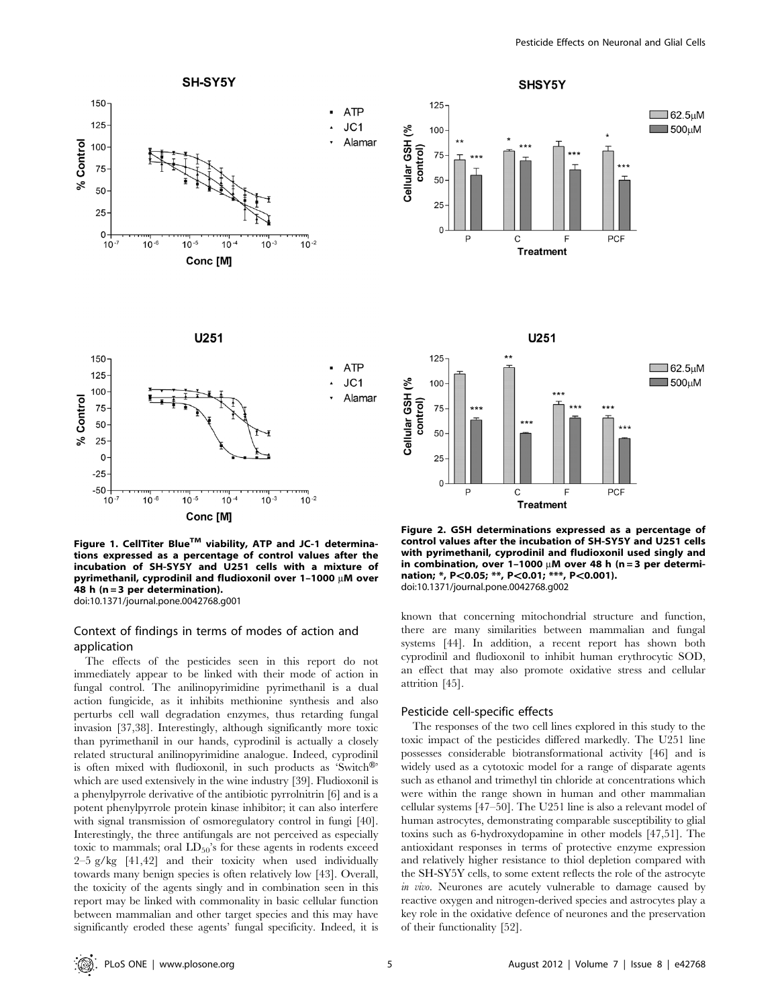

Pesticide Effects on Neuronal and Glial Cells



Figure 1. CellTiter Blue™ viability, ATP and JC-1 determinations expressed as a percentage of control values after the incubation of SH-SY5Y and U251 cells with a mixture of pyrimethanil, cyprodinil and fludioxonil over  $1-1000 \mu M$  over 48 h (n = 3 per determination). doi:10.1371/journal.pone.0042768.g001

# Context of findings in terms of modes of action and application

The effects of the pesticides seen in this report do not immediately appear to be linked with their mode of action in fungal control. The anilinopyrimidine pyrimethanil is a dual action fungicide, as it inhibits methionine synthesis and also perturbs cell wall degradation enzymes, thus retarding fungal invasion [37,38]. Interestingly, although significantly more toxic than pyrimethanil in our hands, cyprodinil is actually a closely related structural anilinopyrimidine analogue. Indeed, cyprodinil is often mixed with fludioxonil, in such products as 'Switch<sup>®'</sup> which are used extensively in the wine industry [39]. Fludioxonil is a phenylpyrrole derivative of the antibiotic pyrrolnitrin [6] and is a potent phenylpyrrole protein kinase inhibitor; it can also interfere with signal transmission of osmoregulatory control in fungi [40]. Interestingly, the three antifungals are not perceived as especially toxic to mammals; oral  $LD_{50}$ 's for these agents in rodents exceed  $2-5$  g/kg  $[41,42]$  and their toxicity when used individually towards many benign species is often relatively low [43]. Overall, the toxicity of the agents singly and in combination seen in this report may be linked with commonality in basic cellular function between mammalian and other target species and this may have significantly eroded these agents' fungal specificity. Indeed, it is

Figure 2. GSH determinations expressed as a percentage of control values after the incubation of SH-SY5Y and U251 cells with pyrimethanil, cyprodinil and fludioxonil used singly and in combination, over 1-1000  $\mu$ M over 48 h (n = 3 per determination; \*, P<0.05; \*\*, P<0.01; \*\*\*, P<0.001). doi:10.1371/journal.pone.0042768.g002

known that concerning mitochondrial structure and function, there are many similarities between mammalian and fungal systems [44]. In addition, a recent report has shown both cyprodinil and fludioxonil to inhibit human erythrocytic SOD, an effect that may also promote oxidative stress and cellular attrition [45].

#### Pesticide cell-specific effects

The responses of the two cell lines explored in this study to the toxic impact of the pesticides differed markedly. The U251 line possesses considerable biotransformational activity [46] and is widely used as a cytotoxic model for a range of disparate agents such as ethanol and trimethyl tin chloride at concentrations which were within the range shown in human and other mammalian cellular systems [47–50]. The U251 line is also a relevant model of human astrocytes, demonstrating comparable susceptibility to glial toxins such as 6-hydroxydopamine in other models [47,51]. The antioxidant responses in terms of protective enzyme expression and relatively higher resistance to thiol depletion compared with the SH-SY5Y cells, to some extent reflects the role of the astrocyte in vivo. Neurones are acutely vulnerable to damage caused by reactive oxygen and nitrogen-derived species and astrocytes play a key role in the oxidative defence of neurones and the preservation of their functionality [52].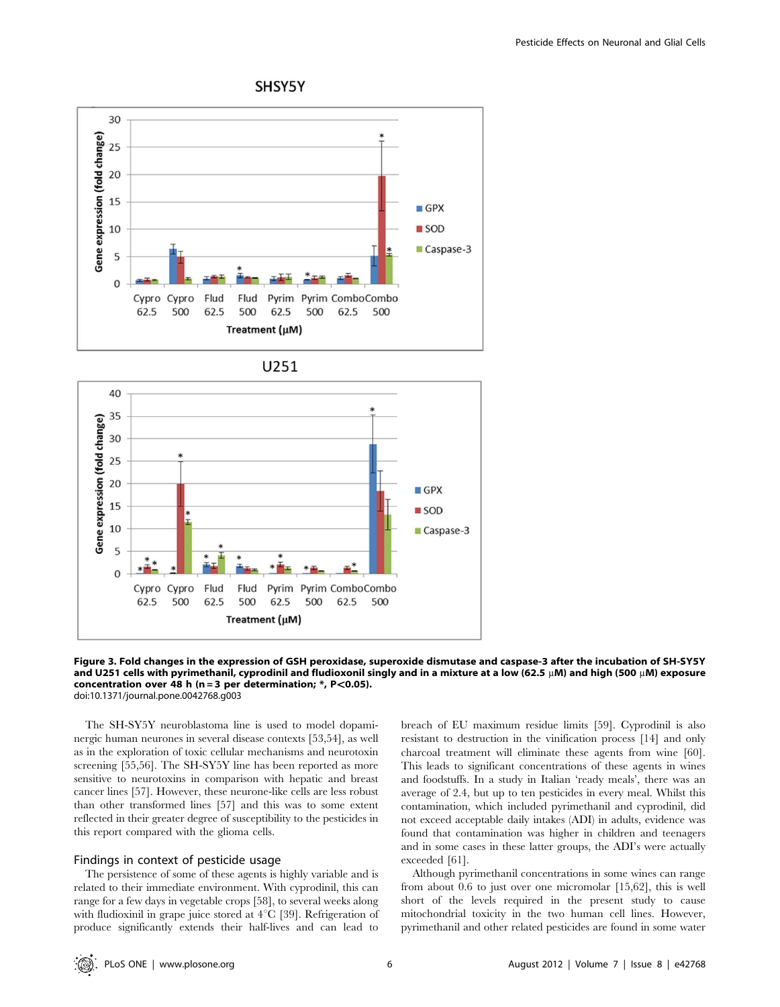

# SHSY5Y





Figure 3. Fold changes in the expression of GSH peroxidase, superoxide dismutase and caspase-3 after the incubation of SH-SY5Y and U251 cells with pyrimethanil, cyprodinil and fludioxonil singly and in a mixture at a low (62.5  $\mu$ M) and high (500  $\mu$ M) exposure concentration over 48 h (n = 3 per determination;  $*$ , P<0.05). doi:10.1371/journal.pone.0042768.g003

The SH-SY5Y neuroblastoma line is used to model dopaminergic human neurones in several disease contexts [53,54], as well as in the exploration of toxic cellular mechanisms and neurotoxin screening [55,56]. The SH-SY5Y line has been reported as more sensitive to neurotoxins in comparison with hepatic and breast cancer lines [57]. However, these neurone-like cells are less robust than other transformed lines [57] and this was to some extent reflected in their greater degree of susceptibility to the pesticides in this report compared with the glioma cells.

# Findings in context of pesticide usage

The persistence of some of these agents is highly variable and is related to their immediate environment. With cyprodinil, this can range for a few days in vegetable crops [58], to several weeks along with fludioxinil in grape juice stored at  $4^{\circ}C$  [39]. Refrigeration of produce significantly extends their half-lives and can lead to breach of EU maximum residue limits [59]. Cyprodinil is also resistant to destruction in the vinification process [14] and only charcoal treatment will eliminate these agents from wine [60]. This leads to significant concentrations of these agents in wines and foodstuffs. In a study in Italian 'ready meals', there was an average of 2.4, but up to ten pesticides in every meal. Whilst this contamination, which included pyrimethanil and cyprodinil, did not exceed acceptable daily intakes (ADI) in adults, evidence was found that contamination was higher in children and teenagers and in some cases in these latter groups, the ADI's were actually exceeded [61].

Although pyrimethanil concentrations in some wines can range from about 0.6 to just over one micromolar [15,62], this is well short of the levels required in the present study to cause mitochondrial toxicity in the two human cell lines. However, pyrimethanil and other related pesticides are found in some water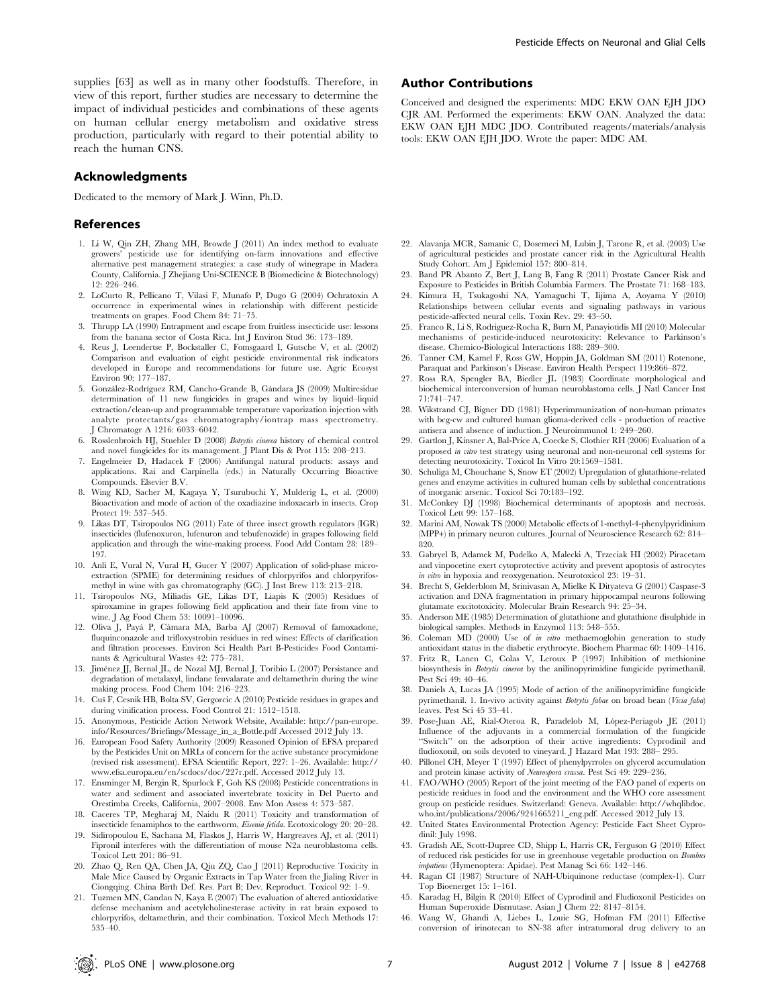supplies [63] as well as in many other foodstuffs. Therefore, in view of this report, further studies are necessary to determine the impact of individual pesticides and combinations of these agents on human cellular energy metabolism and oxidative stress production, particularly with regard to their potential ability to reach the human CNS.

## Acknowledgments

Dedicated to the memory of Mark J. Winn, Ph.D.

### References

- 1. Li W, Qin ZH, Zhang MH, Browde J (2011) An index method to evaluate growers' pesticide use for identifying on-farm innovations and effective alternative pest management strategies: a case study of winegrape in Madera County, California. J Zhejiang Uni-SCIENCE B (Biomedicine & Biotechnology) 12: 226–246.
- 2. LoCurto R, Pellicano T, Vilasi F, Munafo P, Dugo G (2004) Ochratoxin A occurrence in experimental wines in relationship with different pesticide treatments on grapes. Food Chem 84: 71–75.
- 3. Thrupp LA (1990) Entrapment and escape from fruitless insecticide use: lessons from the banana sector of Costa Rica. Int J Environ Stud 36: 173–189.
- 4. Reus J, Leendertse P, Bockstaller C, Fomsgaard I, Gutsche V, et al. (2002) Comparison and evaluation of eight pesticide environmental risk indicators developed in Europe and recommendations for future use. Agric Ecosyst Environ 90: 177–187.
- 5. González-Rodríguez RM, Cancho-Grande B, Gándara JS (2009) Multiresidue determination of 11 new fungicides in grapes and wines by liquid–liquid extraction/clean-up and programmable temperature vaporization injection with analyte protectants/gas chromatography/iontrap mass spectrometry. J Chromatogr A 1216: 6033–6042.
- 6. Rosslenbroich HJ, Stuebler D (2008) Botrytis cinerea history of chemical control and novel fungicides for its management. J Plant Dis & Prot 115: 208–213.
- 7. Engelmeier D, Hadacek F (2006) Antifungal natural products: assays and applications. Rai and Carpinella (eds.) in Naturally Occurring Bioactive Compounds. Elsevier B.V.
- 8. Wing KD, Sacher M, Kagaya Y, Tsurubuchi Y, Mulderig L, et al. (2000) Bioactivation and mode of action of the oxadiazine indoxacarb in insects. Crop Protect 19: 537–545.
- 9. Likas DT, Tsiropoulos NG (2011) Fate of three insect growth regulators (IGR) insecticides (flufenoxuron, lufenuron and tebufenozide) in grapes following field application and through the wine-making process. Food Add Contam 28: 189– 197.
- 10. Anli E, Vural N, Vural H, Gucer Y (2007) Application of solid-phase microextraction (SPME) for determining residues of chlorpyrifos and chlorpyrifosmethyl in wine with gas chromatography (GC). J Inst Brew 113: 213–218.
- 11. Tsiropoulos NG, Miliadis GE, Likas DT, Liapis K (2005) Residues of spiroxamine in grapes following field application and their fate from vine to wine. J Ag Food Chem 53: 10091–10096.
- 12. Oliva J, Payá P, Cámara MA, Barba AJ (2007) Removal of famoxadone, fluquinconazole and trifloxystrobin residues in red wines: Effects of clarification and filtration processes. Environ Sci Health Part B-Pesticides Food Contaminants & Agricultural Wastes 42: 775–781.
- 13. Jiménez JJ, Bernal JL, de Nozal MJ, Bernal J, Toribio L (2007) Persistance and degradation of metalaxyl, lindane fenvalarate and deltamethrin during the wine making process. Food Chem 104: 216–223.
- 14. Cuš F, Cesnik HB, Bolta SV, Gergorcic A (2010) Pesticide residues in grapes and during vinification process. Food Control 21: 1512–1518.
- 15. Anonymous, Pesticide Action Network Website, Available: http://pan-europe. info/Resources/Briefings/Message\_in\_a\_Bottle.pdf Accessed 2012 July 13.
- 16. European Food Safety Authority (2009) Reasoned Opinion of EFSA prepared by the Pesticides Unit on MRLs of concern for the active substance procymidone (revised risk assessment). EFSA Scientific Report, 227: 1–26. Available: http:// www.efsa.europa.eu/en/scdocs/doc/227r.pdf. Accessed 2012 July 13.
- 17. Ensminger M, Bergin R, Spurlock F, Goh KS (2008) Pesticide concentrations in water and sediment and associated invertebrate toxicity in Del Puerto and Orestimba Creeks, California, 2007–2008. Env Mon Assess 4: 573–587.
- 18. Caceres TP, Megharaj M, Naidu R (2011) Toxicity and transformation of insecticide fenamiphos to the earthworm, Eisenia fetida. Ecotoxicology 20: 20–28.
- 19. Sidiropoulou E, Sachana M, Flaskos J, Harris W, Hargreaves AJ, et al. (2011) Fipronil interferes with the differentiation of mouse N2a neuroblastoma cells. Toxicol Lett 201: 86–91.
- 20. Zhao Q, Ren QA, Chen JA, Qiu ZQ, Cao J (2011) Reproductive Toxicity in Male Mice Caused by Organic Extracts in Tap Water from the Jialing River in Ciongqing. China Birth Def. Res. Part B; Dev. Reproduct. Toxicol 92: 1–9.
- 21. Tuzmen MN, Candan N, Kaya E (2007) The evaluation of altered antioxidative defense mechanism and acetylcholinesterase activity in rat brain exposed to chlorpyrifos, deltamethrin, and their combination. Toxicol Mech Methods 17: 535–40.

## Author Contributions

Conceived and designed the experiments: MDC EKW OAN EJH JDO CJR AM. Performed the experiments: EKW OAN. Analyzed the data: EKW OAN EJH MDC JDO. Contributed reagents/materials/analysis tools: EKW OAN EJH JDO. Wrote the paper: MDC AM.

- 22. Alavanja MCR, Samanic C, Dosemeci M, Lubin J, Tarone R, et al. (2003) Use of agricultural pesticides and prostate cancer risk in the Agricultural Health Study Cohort. Am J Epidemiol 157: 800–814.
- 23. Band PR Abanto Z, Bert J, Lang B, Fang R (2011) Prostate Cancer Risk and Exposure to Pesticides in British Columbia Farmers. The Prostate 71: 168–183.
- 24. Kimura H, Tsukagoshi NA, Yamaguchi T, Iijima A, Aoyama Y (2010) Relationships between cellular events and signaling pathways in various pesticide-affected neural cells. Toxin Rev. 29: 43–50.
- 25. Franco R, Li S, Rodriguez-Rocha R, Burn M, Panayiotidis MI (2010) Molecular mechanisms of pesticide-induced neurotoxicity: Relevance to Parkinson's disease. Chemico-Biological Interactions 188: 289–300.
- 26. Tanner CM, Kamel F, Ross GW, Hoppin JA, Goldman SM (2011) Rotenone, Paraquat and Parkinson's Disease. Environ Health Perspect 119:866–872.
- 27. Ross RA, Spengler BA, Biedler JL (1983) Coordinate morphological and biochemical interconversion of human neuroblastoma cells. J Natl Cancer Inst 71:741–747.
- 28. Wikstrand CJ, Bigner DD (1981) Hyperimmunization of non-human primates with bcg-cw and cultured human glioma-derived cells - production of reactive antisera and absence of induction. J Neuroimmunol 1: 249–260.
- 29. Gartlon J, Kinsner A, Bal-Price A, Coecke S, Clothier RH (2006) Evaluation of a proposed in vitro test strategy using neuronal and non-neuronal cell systems for detecting neurotoxicity. Toxicol In Vitro 20:1569–1581.
- 30. Schuliga M, Chouchane S, Snow ET (2002) Upregulation of glutathione-related genes and enzyme activities in cultured human cells by sublethal concentrations of inorganic arsenic. Toxicol Sci 70:183–192.
- 31. McConkey DJ (1998) Biochemical determinants of apoptosis and necrosis. Toxicol Lett 99: 157–168.
- 32. Marini AM, Nowak TS (2000) Metabolic effects of 1-methyl-4-phenylpyridinium (MPP+) in primary neuron cultures. Journal of Neuroscience Research 62: 814– 820.
- 33. Gabryel B, Adamek M, Pudelko A, Malecki A, Trzeciak HI (2002) Piracetam and vinpocetine exert cytoprotective activity and prevent apoptosis of astrocytes in vitro in hypoxia and reoxygenation. Neurotoxicol 23: 19–31.
- 34. Brecht S, Gelderblom M, Srinivasan A, Mielke K Dityateva G (2001) Caspase-3 activation and DNA fragmentation in primary hippocampal neurons following glutamate excitotoxicity. Molecular Brain Research 94: 25–34.
- 35. Anderson ME (1985) Determination of glutathione and glutathione disulphide in biological samples. Methods in Enzymol 113: 548–555.
- 36. Coleman MD (2000) Use of in vitro methaemoglobin generation to study antioxidant status in the diabetic erythrocyte. Biochem Pharmac 60: 1409–1416.
- 37. Fritz R, Lanen C, Colas V, Leroux P (1997) Inhibition of methionine biosynthesis in Botrytis cinerea by the anilinopyrimidine fungicide pyrimethanil. Pest Sci 49: 40–46.
- 38. Daniels A, Lucas JA (1995) Mode of action of the anilinopyrimidine fungicide pyrimethanil. 1. In-vivo activity against Botrytis fabae on broad bean (Vicia faba) leaves. Pest Sci 45 33–41.
- 39. Pose-Juan AE, Rial-Oteroa R, Paradelob M, López-Periagob JE (2011) Influence of the adjuvants in a commercial formulation of the fungicide "Switch" on the adsorption of their active ingredients: Cyprodinil and fludioxonil, on soils devoted to vineyard. J Hazard Mat 193: 288– 295.
- 40. Pillonel CH, Meyer T (1997) Effect of phenylpyrroles on glycerol accumulation and protein kinase activity of Neurospora crassa. Pest Sci 49: 229–236.
- 41. FAO/WHO (2005) Report of the joint meeting of the FAO panel of experts on pesticide residues in food and the environment and the WHO core assessment group on pesticide residues. Switzerland: Geneva. Available: http://whqlibdoc. who.int/publications/2006/9241665211\_eng.pdf. Accessed 2012 July 13.
- 42. United States Environmental Protection Agency: Pesticide Fact Sheet Cyprodinil: July 1998.
- 43. Gradish AE, Scott-Dupree CD, Shipp L, Harris CR, Ferguson G (2010) Effect of reduced risk pesticides for use in greenhouse vegetable production on Bombus impatiens (Hymenoptera: Apidae). Pest Manag Sci 66: 142–146.
- 44. Ragan CI (1987) Structure of NAH-Ubiquinone reductase (complex-1). Curr Top Bioenerget 15: 1–161.
- 45. Karadag H, Bilgin R (2010) Effect of Cyprodinil and Fludioxonil Pesticides on Human Superoxide Dismutase. Asian J Chem 22: 8147–8154.
- 46. Wang W, Ghandi A, Liebes L, Louie SG, Hofman FM (2011) Effective conversion of irinotecan to SN-38 after intratumoral drug delivery to an